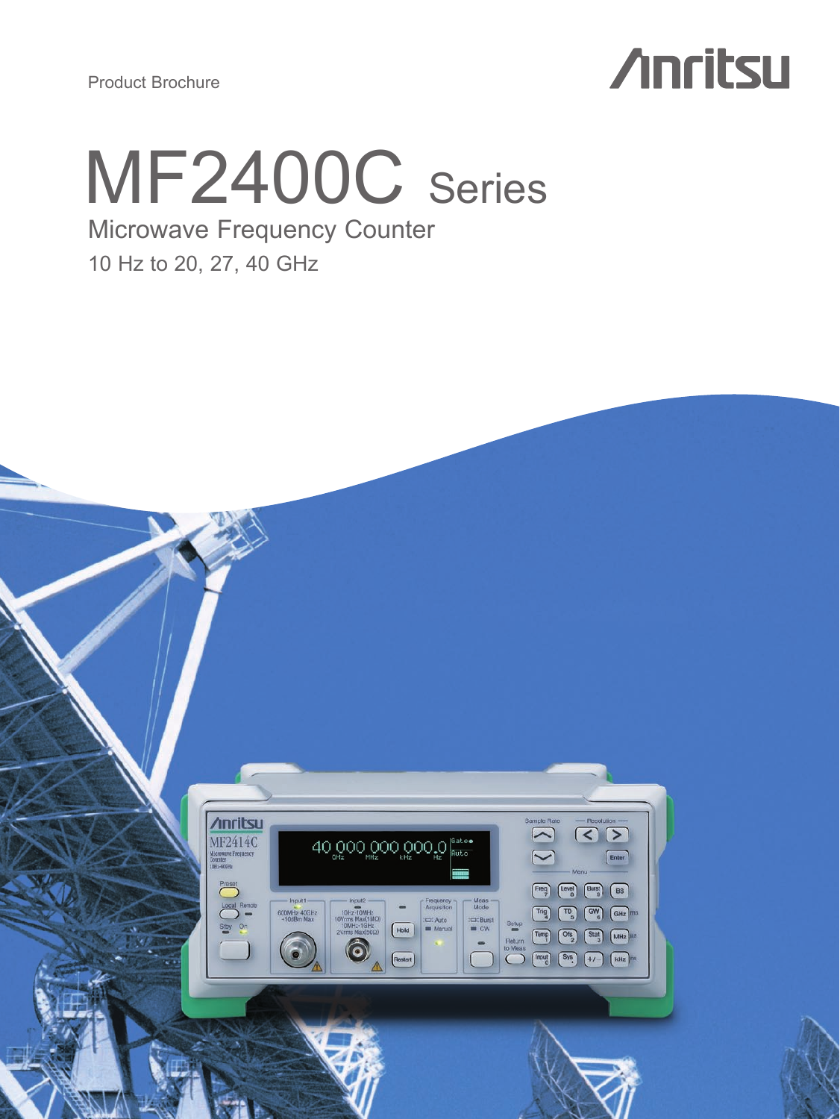Product Brochure

# **Anritsu**



# Microwave Frequency Counter

10 Hz to 20, 27, 40 GHz

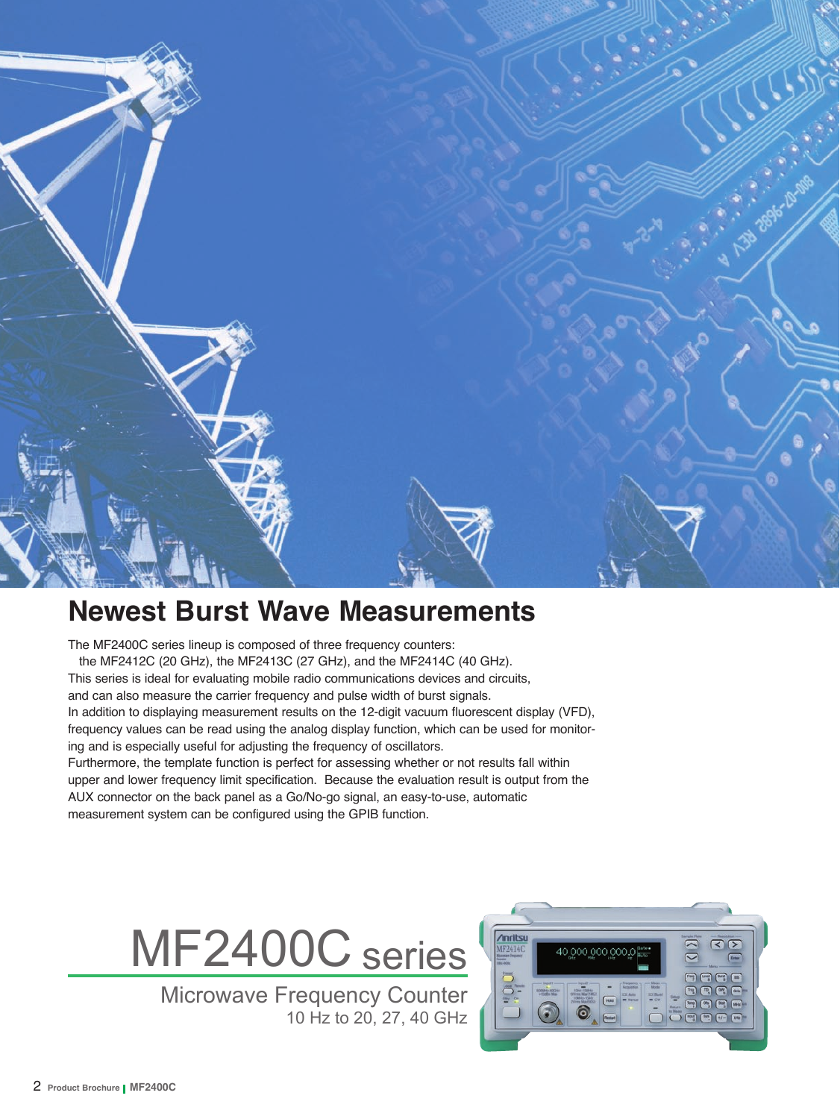

# **Newest Burst Wave Measurements**

The MF2400C series lineup is composed of three frequency counters: the MF2412C (20 GHz), the MF2413C (27 GHz), and the MF2414C (40 GHz). This series is ideal for evaluating mobile radio communications devices and circuits, and can also measure the carrier frequency and pulse width of burst signals. In addition to displaying measurement results on the 12-digit vacuum fluorescent display (VFD), frequency values can be read using the analog display function, which can be used for monitoring and is especially useful for adjusting the frequency of oscillators. Furthermore, the template function is perfect for assessing whether or not results fall within upper and lower frequency limit specification. Because the evaluation result is output from the AUX connector on the back panel as a Go/No-go signal, an easy-to-use, automatic measurement system can be configured using the GPIB function.



Microwave Frequency Counter 10 Hz to 20, 27, 40 GHz

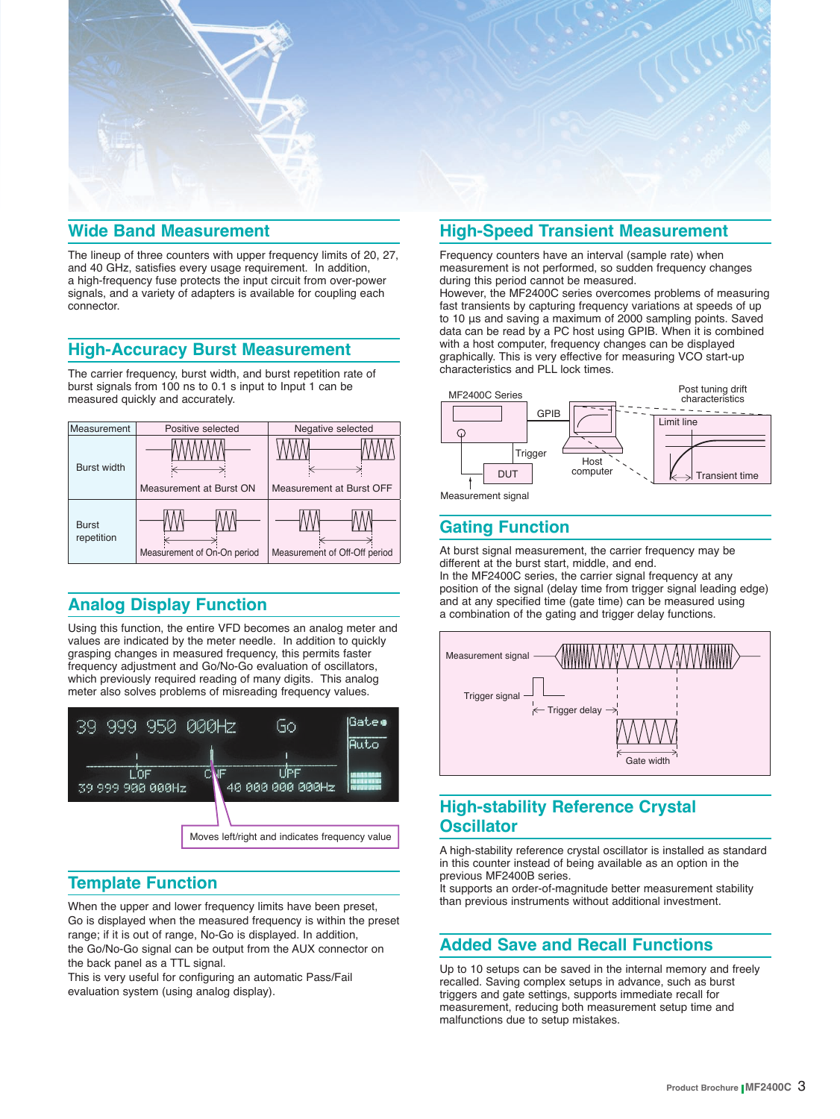

### **Wide Band Measurement**

The lineup of three counters with upper frequency limits of 20, 27, and 40 GHz, satisfies every usage requirement. In addition, a high-frequency fuse protects the input circuit from over-power signals, and a variety of adapters is available for coupling each connector.

# **High-Accuracy Burst Measurement**

The carrier frequency, burst width, and burst repetition rate of burst signals from 100 ns to 0.1 s input to Input 1 can be measured quickly and accurately.



# **Analog Display Function**

Using this function, the entire VFD becomes an analog meter and values are indicated by the meter needle. In addition to quickly grasping changes in measured frequency, this permits faster frequency adjustment and Go/No-Go evaluation of oscillators, which previously required reading of many digits. This analog meter also solves problems of misreading frequency values.



# **Template Function**

When the upper and lower frequency limits have been preset, Go is displayed when the measured frequency is within the preset range; if it is out of range, No-Go is displayed. In addition, the Go/No-Go signal can be output from the AUX connector on the back panel as a TTL signal.

This is very useful for configuring an automatic Pass/Fail evaluation system (using analog display).

# **High-Speed Transient Measurement**

Frequency counters have an interval (sample rate) when measurement is not performed, so sudden frequency changes during this period cannot be measured.

However, the MF2400C series overcomes problems of measuring fast transients by capturing frequency variations at speeds of up to 10 μs and saving a maximum of 2000 sampling points. Saved data can be read by a PC host using GPIB. When it is combined with a host computer, frequency changes can be displayed graphically. This is very effective for measuring VCO start-up characteristics and PLL lock times.



Measurement signal

# **Gating Function**

At burst signal measurement, the carrier frequency may be different at the burst start, middle, and end. In the MF2400C series, the carrier signal frequency at any position of the signal (delay time from trigger signal leading edge) and at any specified time (gate time) can be measured using a combination of the gating and trigger delay functions.



# **High-stability Reference Crystal Oscillator**

A high-stability reference crystal oscillator is installed as standard in this counter instead of being available as an option in the previous MF2400B series.

It supports an order-of-magnitude better measurement stability than previous instruments without additional investment.

# **Added Save and Recall Functions**

Up to 10 setups can be saved in the internal memory and freely recalled. Saving complex setups in advance, such as burst triggers and gate settings, supports immediate recall for measurement, reducing both measurement setup time and malfunctions due to setup mistakes.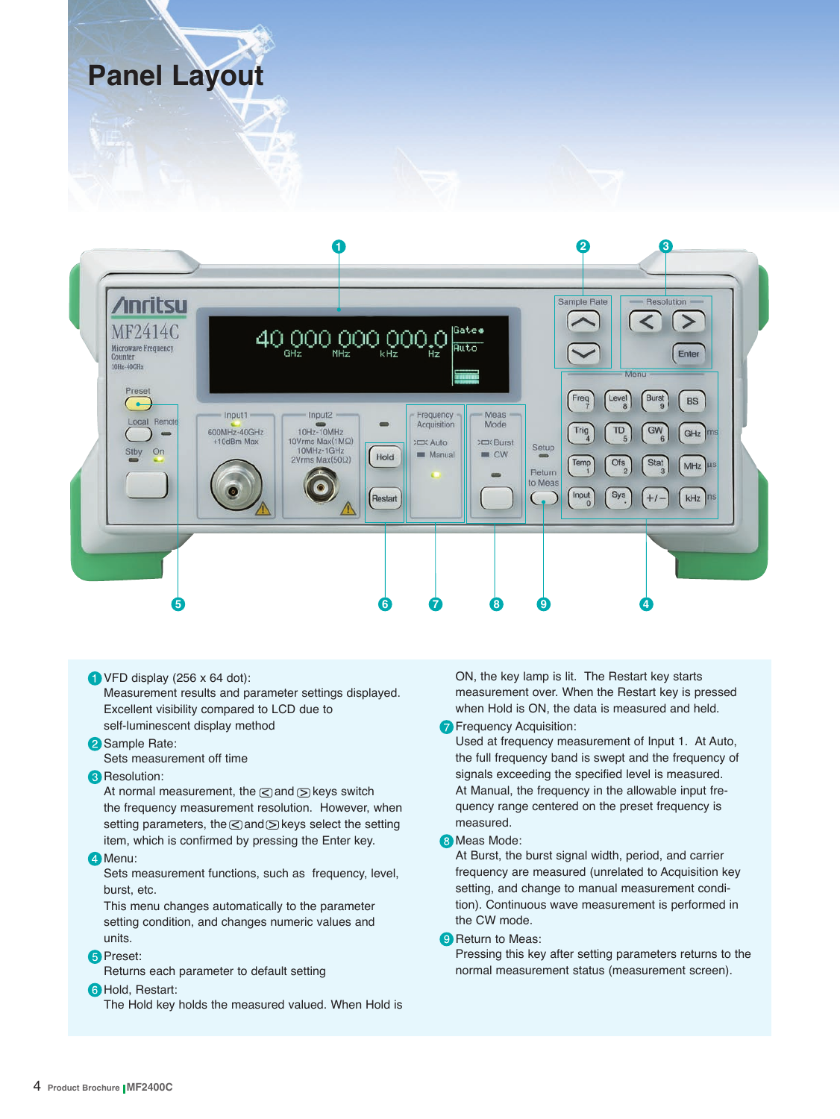# **Panel Layout**



 $\bigcirc$  VFD display (256 x 64 dot): Measurement results and parameter settings displayed. Excellent visibility compared to LCD due to self-luminescent display method

# **2** Sample Rate:

Sets measurement off time

#### **Resolution:**

At normal measurement, the  $\leq$  and  $\leq$  keys switch the frequency measurement resolution. However, when setting parameters, the  $\leq$  and  $\geq$  keys select the setting item, which is confirmed by pressing the Enter key.

#### 4<sup>Menu:</sup>

Sets measurement functions, such as frequency, level, burst, etc.

This menu changes automatically to the parameter setting condition, and changes numeric values and units.

#### **B** Preset:

Returns each parameter to default setting

#### **6** Hold, Restart:

The Hold key holds the measured valued. When Hold is

ON, the key lamp is lit. The Restart key starts measurement over. When the Restart key is pressed when Hold is ON, the data is measured and held.

#### **Frequency Acquisition:**

Used at frequency measurement of Input 1. At Auto, the full frequency band is swept and the frequency of signals exceeding the specified level is measured. At Manual, the frequency in the allowable input frequency range centered on the preset frequency is measured.

#### **8** Meas Mode:

At Burst, the burst signal width, period, and carrier frequency are measured (unrelated to Acquisition key setting, and change to manual measurement condition). Continuous wave measurement is performed in the CW mode.

#### **9** Return to Meas:

Pressing this key after setting parameters returns to the normal measurement status (measurement screen).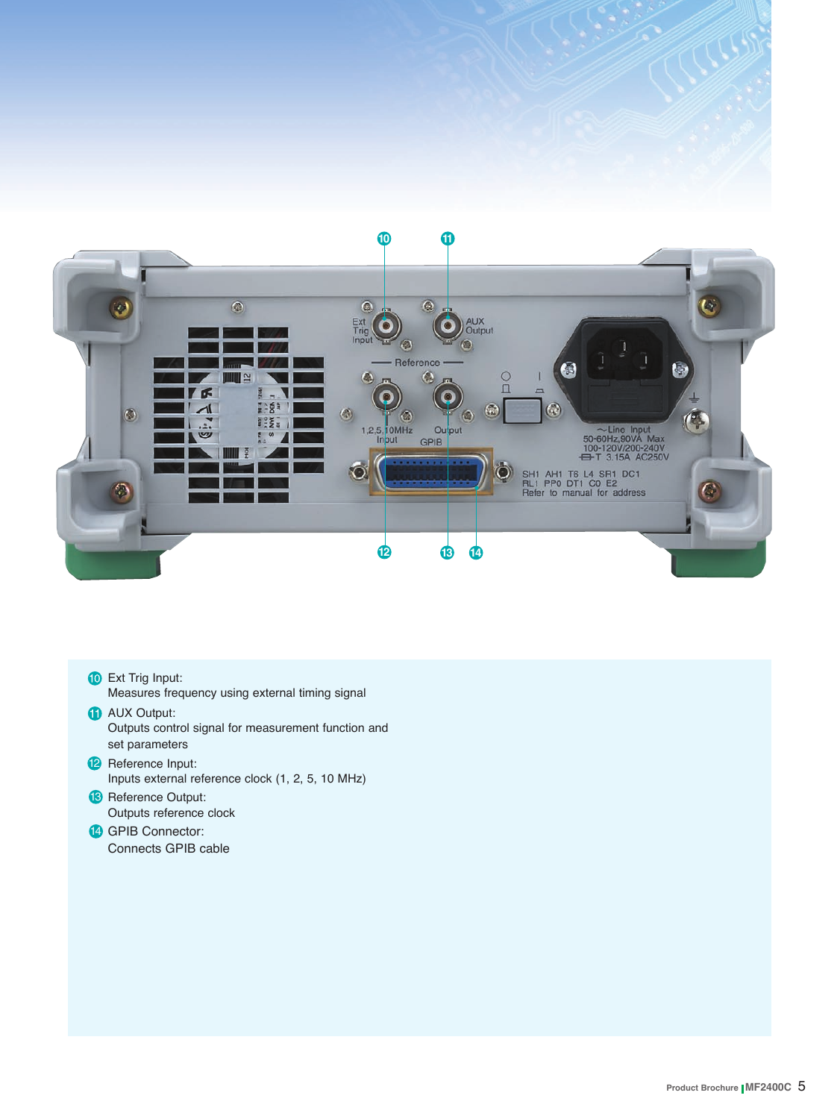

- **10** Ext Trig Input: Measures frequency using external timing signal **AUX Output:** 
	- Outputs control signal for measurement function and set parameters
- **P** Reference Input: Inputs external reference clock (1, 2, 5, 10 MHz)
- <sup>13</sup> Reference Output: Outputs reference clock
- **14 GPIB Connector:** Connects GPIB cable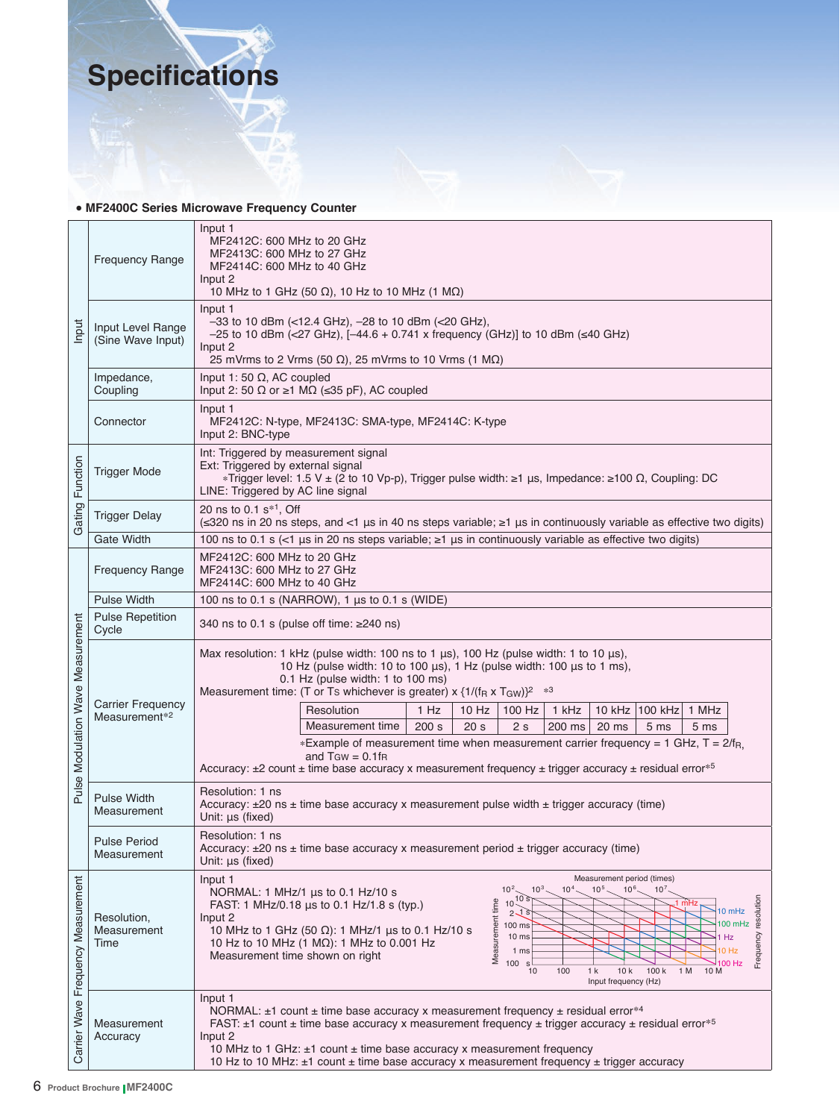

### **• MF2400C Series Microwave Frequency Counter**

| Input                              | <b>Frequency Range</b>                 | Input 1<br>MF2412C: 600 MHz to 20 GHz<br>MF2413C: 600 MHz to 27 GHz<br>MF2414C: 600 MHz to 40 GHz<br>Input 2<br>10 MHz to 1 GHz (50 $\Omega$ ), 10 Hz to 10 MHz (1 M $\Omega$ )                                                                                                                                                                                                                                                                                                                                                                                                                                                                                                |  |  |  |
|------------------------------------|----------------------------------------|--------------------------------------------------------------------------------------------------------------------------------------------------------------------------------------------------------------------------------------------------------------------------------------------------------------------------------------------------------------------------------------------------------------------------------------------------------------------------------------------------------------------------------------------------------------------------------------------------------------------------------------------------------------------------------|--|--|--|
|                                    | Input Level Range<br>(Sine Wave Input) | Input 1<br>$-33$ to 10 dBm (<12.4 GHz), $-28$ to 10 dBm (<20 GHz),<br>-25 to 10 dBm (<27 GHz), [-44.6 + 0.741 x frequency (GHz)] to 10 dBm (≤40 GHz)<br>Input 2<br>25 mVrms to 2 Vrms (50 $\Omega$ ), 25 mVrms to 10 Vrms (1 M $\Omega$ )                                                                                                                                                                                                                                                                                                                                                                                                                                      |  |  |  |
|                                    | Impedance,<br>Coupling                 | Input 1: 50 $\Omega$ , AC coupled<br>Input 2: 50 $\Omega$ or $\geq 1$ M $\Omega$ ( $\leq 35$ pF), AC coupled                                                                                                                                                                                                                                                                                                                                                                                                                                                                                                                                                                   |  |  |  |
|                                    | Connector                              | Input 1<br>MF2412C: N-type, MF2413C: SMA-type, MF2414C: K-type<br>Input 2: BNC-type                                                                                                                                                                                                                                                                                                                                                                                                                                                                                                                                                                                            |  |  |  |
| Function                           | <b>Trigger Mode</b>                    | Int: Triggered by measurement signal<br>Ext: Triggered by external signal<br>*Trigger level: 1.5 V ± (2 to 10 Vp-p), Trigger pulse width: ≥1 μs, Impedance: ≥100 Ω, Coupling: DC<br>LINE: Triggered by AC line signal                                                                                                                                                                                                                                                                                                                                                                                                                                                          |  |  |  |
| Gating                             | <b>Trigger Delay</b>                   | 20 ns to 0.1 s <sup>*1</sup> , Off<br>(≤320 ns in 20 ns steps, and <1 µs in 40 ns steps variable; ≥1 µs in continuously variable as effective two digits)                                                                                                                                                                                                                                                                                                                                                                                                                                                                                                                      |  |  |  |
|                                    | <b>Gate Width</b>                      | 100 ns to 0.1 s (<1 µs in 20 ns steps variable; $\geq$ 1 µs in continuously variable as effective two digits)                                                                                                                                                                                                                                                                                                                                                                                                                                                                                                                                                                  |  |  |  |
|                                    | <b>Frequency Range</b>                 | MF2412C: 600 MHz to 20 GHz<br>MF2413C: 600 MHz to 27 GHz<br>MF2414C: 600 MHz to 40 GHz                                                                                                                                                                                                                                                                                                                                                                                                                                                                                                                                                                                         |  |  |  |
|                                    | <b>Pulse Width</b>                     | 100 ns to 0.1 s (NARROW), 1 μs to 0.1 s (WIDE)                                                                                                                                                                                                                                                                                                                                                                                                                                                                                                                                                                                                                                 |  |  |  |
|                                    | <b>Pulse Repetition</b><br>Cycle       | 340 ns to 0.1 s (pulse off time: ≥240 ns)                                                                                                                                                                                                                                                                                                                                                                                                                                                                                                                                                                                                                                      |  |  |  |
| Pulse Modulation Wave Measurement  | Carrier Frequency                      | Max resolution: 1 kHz (pulse width: 100 ns to 1 $\mu$ s), 100 Hz (pulse width: 1 to 10 $\mu$ s),<br>10 Hz (pulse width: 10 to 100 µs), 1 Hz (pulse width: 100 µs to 1 ms),<br>$0.1$ Hz (pulse width: 1 to 100 ms)<br>Measurement time: (T or Ts whichever is greater) $x \frac{1}{(\text{R} x)T_Gw}^2$<br>Resolution<br>$10$ Hz                                                                                                                                                                                                                                                                                                                                                |  |  |  |
|                                    | Measurement <sup>*2</sup>              | 1 Hz<br>1 kHz<br>10 kHz   100 kHz   1 MHz<br>100 Hz<br>Measurement time<br>200 s<br>20 <sub>s</sub><br>2s<br>20 ms<br>200 ms<br>5 <sub>ms</sub><br>5 ms                                                                                                                                                                                                                                                                                                                                                                                                                                                                                                                        |  |  |  |
|                                    |                                        | *Example of measurement time when measurement carrier frequency = 1 GHz, $T = 2/f_{R_1}$<br>and $T_{GW} = 0.1$ fra<br>Accuracy: $\pm 2$ count $\pm$ time base accuracy x measurement frequency $\pm$ trigger accuracy $\pm$ residual error <sup>*5</sup>                                                                                                                                                                                                                                                                                                                                                                                                                       |  |  |  |
|                                    | <b>Pulse Width</b><br>Measurement      | Resolution: 1 ns<br>Accuracy: $\pm 20$ ns $\pm$ time base accuracy x measurement pulse width $\pm$ trigger accuracy (time)<br>Unit: µs (fixed)                                                                                                                                                                                                                                                                                                                                                                                                                                                                                                                                 |  |  |  |
|                                    | <b>Pulse Period</b><br>Measurement     | Resolution: 1 ns<br>Accuracy: $\pm 20$ ns $\pm$ time base accuracy x measurement period $\pm$ trigger accuracy (time)<br>Unit: µs (fixed)                                                                                                                                                                                                                                                                                                                                                                                                                                                                                                                                      |  |  |  |
| Carrier Wave Frequency Measurement | Resolution,<br>Measurement<br>Time     | Input 1<br>Measurement period (times)<br>10 <sup>2</sup><br>$10^{3}$<br>$10^{5}$<br>$10^{6}$<br>10 <sup>7</sup><br>10 <sup>1</sup><br>NORMAL: 1 MHz/1 $\mu$ s to 0.1 Hz/10 s<br>resolution<br>10 <sub>s</sub><br>Measurement time<br>FAST: 1 MHz/0.18 us to 0.1 Hz/1.8 s (typ.)<br>10<br>10 mHz<br>$2\sqrt{s}$<br>Input 2<br>$100$ mHz<br>100 ms<br>10 MHz to 1 GHz (50 $\Omega$ ): 1 MHz/1 us to 0.1 Hz/10 s<br>Frequency<br>1 Hz<br>10 <sub>ms</sub><br>10 Hz to 10 MHz (1 MΩ): 1 MHz to 0.001 Hz<br>1 ms<br>IO Hz<br>Measurement time shown on right<br>100<br>100 Hz<br>$\mathsf{s}$<br>100<br>10k<br>100 k<br>1 M<br>10 M<br>10<br>1 <sub>k</sub><br>Input frequency (Hz) |  |  |  |
|                                    | Measurement<br>Accuracy                | Input 1<br>NORMAL: $\pm 1$ count $\pm$ time base accuracy x measurement frequency $\pm$ residual error*4<br>FAST: $\pm 1$ count $\pm$ time base accuracy x measurement frequency $\pm$ trigger accuracy $\pm$ residual error <sup>*5</sup><br>Input 2<br>10 MHz to 1 GHz: $\pm$ 1 count $\pm$ time base accuracy x measurement frequency<br>10 Hz to 10 MHz: $\pm$ 1 count $\pm$ time base accuracy x measurement frequency $\pm$ trigger accuracy                                                                                                                                                                                                                             |  |  |  |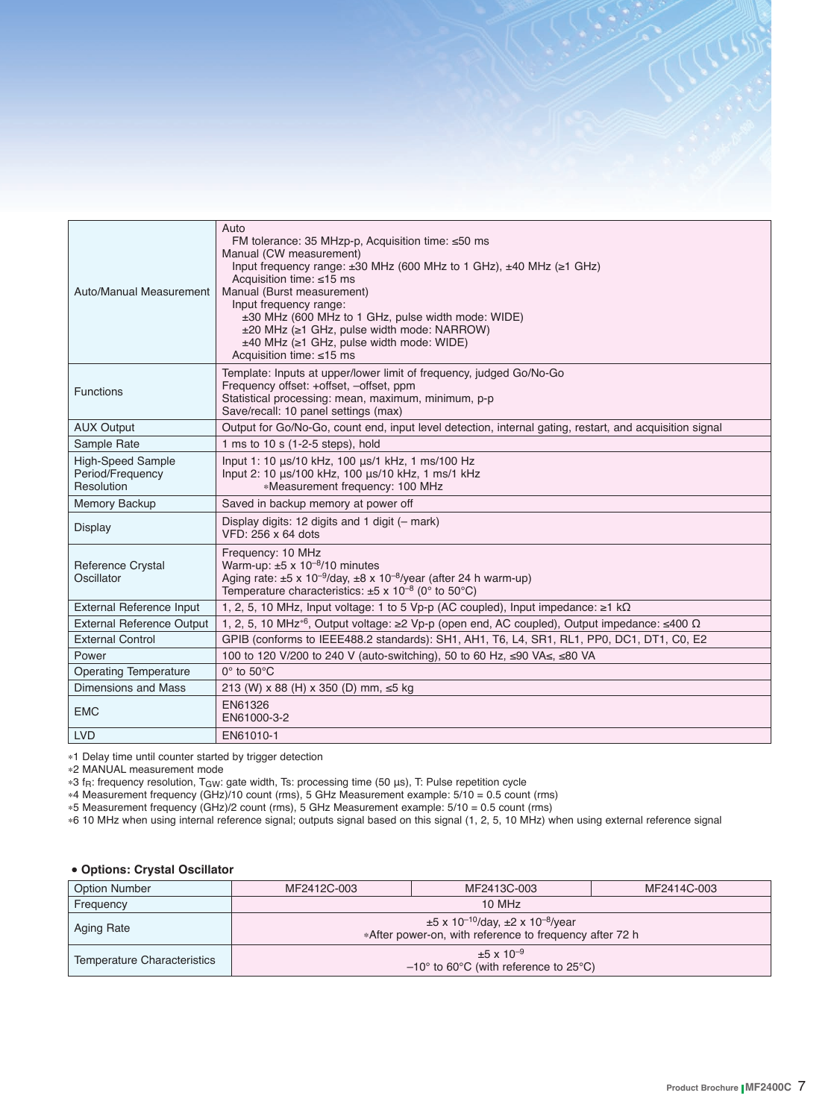| Auto/Manual Measurement                                    | Auto<br>FM tolerance: 35 MHzp-p, Acquisition time: ≤50 ms<br>Manual (CW measurement)<br>Input frequency range: $\pm 30$ MHz (600 MHz to 1 GHz), $\pm 40$ MHz ( $\geq 1$ GHz)<br>Acquisition time: $\leq 15$ ms<br>Manual (Burst measurement)<br>Input frequency range:<br>±30 MHz (600 MHz to 1 GHz, pulse width mode: WIDE)<br>±20 MHz (≥1 GHz, pulse width mode: NARROW)<br>$±40$ MHz ( $≥1$ GHz, pulse width mode: WIDE)<br>Acquisition time: ≤15 ms |
|------------------------------------------------------------|---------------------------------------------------------------------------------------------------------------------------------------------------------------------------------------------------------------------------------------------------------------------------------------------------------------------------------------------------------------------------------------------------------------------------------------------------------|
| <b>Functions</b>                                           | Template: Inputs at upper/lower limit of frequency, judged Go/No-Go<br>Frequency offset: +offset, -offset, ppm<br>Statistical processing: mean, maximum, minimum, p-p<br>Save/recall: 10 panel settings (max)                                                                                                                                                                                                                                           |
| <b>AUX Output</b>                                          | Output for Go/No-Go, count end, input level detection, internal gating, restart, and acquisition signal                                                                                                                                                                                                                                                                                                                                                 |
| Sample Rate                                                | 1 ms to 10 s (1-2-5 steps), hold                                                                                                                                                                                                                                                                                                                                                                                                                        |
| <b>High-Speed Sample</b><br>Period/Frequency<br>Resolution | Input 1: 10 µs/10 kHz, 100 µs/1 kHz, 1 ms/100 Hz<br>Input 2: 10 µs/100 kHz, 100 µs/10 kHz, 1 ms/1 kHz<br>*Measurement frequency: 100 MHz                                                                                                                                                                                                                                                                                                                |
| Memory Backup                                              | Saved in backup memory at power off                                                                                                                                                                                                                                                                                                                                                                                                                     |
| <b>Display</b>                                             | Display digits: 12 digits and 1 digit (- mark)<br>VFD: 256 x 64 dots                                                                                                                                                                                                                                                                                                                                                                                    |
| <b>Reference Crystal</b><br>Oscillator                     | Frequency: 10 MHz<br>Warm-up: $\pm 5 \times 10^{-8}$ /10 minutes<br>Aging rate: $\pm 5 \times 10^{-9}$ /day, $\pm 8 \times 10^{-8}$ /year (after 24 h warm-up)<br>Temperature characteristics: $\pm 5 \times 10^{-8}$ (0° to 50°C)                                                                                                                                                                                                                      |
| <b>External Reference Input</b>                            | 1, 2, 5, 10 MHz, Input voltage: 1 to 5 Vp-p (AC coupled), Input impedance: $\geq 1$ k $\Omega$                                                                                                                                                                                                                                                                                                                                                          |
| <b>External Reference Output</b>                           | 1, 2, 5, 10 MHz <sup>*6</sup> , Output voltage: $\geq 2$ Vp-p (open end, AC coupled), Output impedance: $\leq 400 \Omega$                                                                                                                                                                                                                                                                                                                               |
| <b>External Control</b>                                    | GPIB (conforms to IEEE488.2 standards): SH1, AH1, T6, L4, SR1, RL1, PP0, DC1, DT1, C0, E2                                                                                                                                                                                                                                                                                                                                                               |
| Power                                                      | 100 to 120 V/200 to 240 V (auto-switching), 50 to 60 Hz, ≤90 VA≤, ≤80 VA                                                                                                                                                                                                                                                                                                                                                                                |
| <b>Operating Temperature</b>                               | $0^\circ$ to $50^\circ C$                                                                                                                                                                                                                                                                                                                                                                                                                               |
| Dimensions and Mass                                        | 213 (W) x 88 (H) x 350 (D) mm, ≤5 kg                                                                                                                                                                                                                                                                                                                                                                                                                    |
| <b>EMC</b>                                                 | EN61326<br>EN61000-3-2                                                                                                                                                                                                                                                                                                                                                                                                                                  |
| <b>LVD</b>                                                 | EN61010-1                                                                                                                                                                                                                                                                                                                                                                                                                                               |

\*1 Delay time until counter started by trigger detection

\*2 MANUAL measurement mode

\*3 fR: frequency resolution, TGW: gate width, Ts: processing time (50 μs), T: Pulse repetition cycle

\*4 Measurement frequency (GHz)/10 count (rms), 5 GHz Measurement example: 5/10 = 0.5 count (rms)

\*5 Measurement frequency (GHz)/2 count (rms), 5 GHz Measurement example: 5/10 = 0.5 count (rms)

\*6 10 MHz when using internal reference signal; outputs signal based on this signal (1, 2, 5, 10 MHz) when using external reference signal

#### **• Options: Crystal Oscillator**

| <b>Option Number</b>        | MF2412C-003                                                                                                                   | MF2413C-003 | MF2414C-003 |  |
|-----------------------------|-------------------------------------------------------------------------------------------------------------------------------|-------------|-------------|--|
| Frequency                   | 10 MHz                                                                                                                        |             |             |  |
| Aging Rate                  | $\pm 5$ x 10 <sup>-10</sup> /day, $\pm 2$ x 10 <sup>-8</sup> /year<br>*After power-on, with reference to frequency after 72 h |             |             |  |
| Temperature Characteristics | $\pm 5 \times 10^{-9}$<br>$-10^{\circ}$ to 60 $^{\circ}$ C (with reference to 25 $^{\circ}$ C)                                |             |             |  |